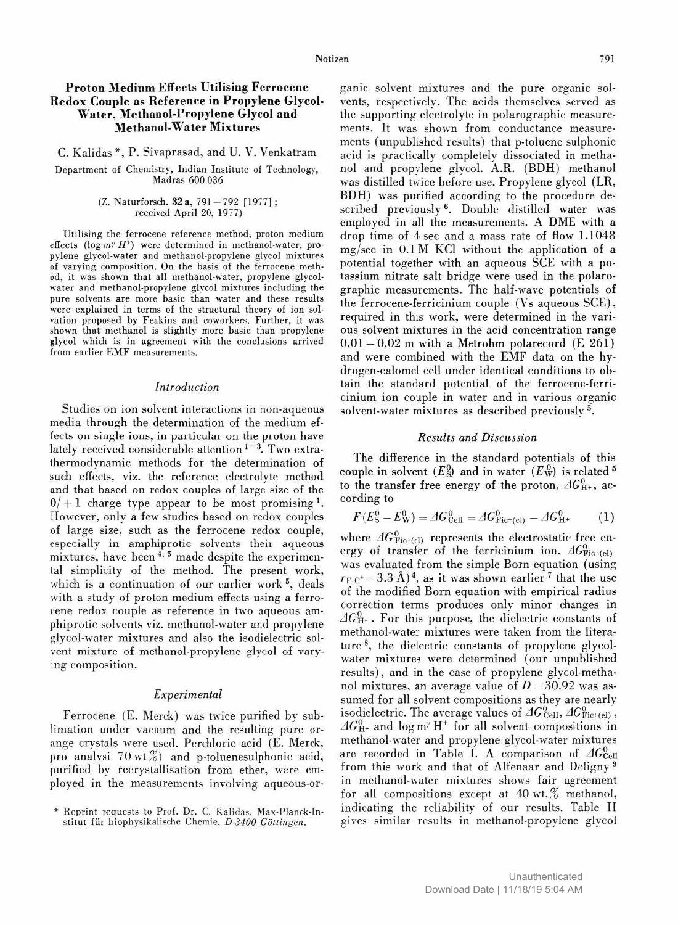## Proton Medium Effects Utilising Ferrocene Redox Couple as Reference in Propylene Glycol-Water, Methanol-Propylene Glycol and Methanol-Water Mixtures

C. Kalidas \*, P. Sivaprasad, and U. V. Venkatram

Department of Chemistry, Indian Institute of Technology, Madras 600 036

### (Z. Naturforsch. 32 a, 791-792 [1977] ; received April 20, 1977)

Utilising the ferrocene reference method, proton medium effects (log  $m^{\gamma} H^+$ ) were determined in methanol-water, propylene glycol-water and methanol-propylene glycol mixtures of varying composition. On the basis of the ferrocene method, it was shown that all methanol-water, propylene glycolwater and methanol-propylene glycol mixtures including the pure solvents are more basic than water and these results were explained in terms of the structural theory of ion solvation proposed by Feakins and coworkers. Further, it was shown that methanol is slightly more basic than propylene glycol which is in agreement with the conclusions arrived from earlier EMF measurements.

# Introduction

Studies on ion solvent interactions in non-aqueous media through the determination of the medium effects on single ions, in particular on the proton have lately received considerable attention<sup>1-3</sup>. Two extrathermodynamic methods for the determination of such effects, viz. the reference electrolyte method and that based on redox couples of large size of the  $0/+1$  charge type appear to be most promising<sup>1</sup>. However, only a few studies based on redox couples of large size, such as the ferrocene redox couple, especially in amphiprotic solvents their aqueous mixtures, have been  $4, 5$  made despite the experimental simplicity of the method. The present work, which is a continuation of our earlier work<sup>5</sup>, deals with a study of proton medium effects using a ferrocene redox couple as reference in two aqueous amphiprotic solvents viz. methanol-water and propylene glycol-water mixtures and also the isodielectric solvent mixture of methanol-propylene glycol of varying composition.

### Experimental

Ferrocene (E. Merck) was twice purified by sublimation under vacuum and the resulting pure orange crystals were used. Perchloric acid (E. Merck, pro analysi  $70$  wt $\%)$  and p-toluenesulphonic acid, purified by recrystallisation from ether, were employed in the measurements involving aqueous-or ganic solvent mixtures and the pure organic solvents, respectively. The acids themselves served as the supporting electrolyte in polarographic measurements. It was shown from conductance measurements (unpublished results) that p-toluene sulphonic acid is practically completely dissociated in methanol and propylene glycol. A.R. (BDH) methanol was distilled twice before use. Propylene glycol (LR, BDH) was purified according to the procedure described previously<sup>6</sup>. Double distilled water was employed in all the measurements. A DME with a drop time of 4 sec and a mass rate of flow 1.1048 mg/sec in 0.1 M KCl without the application of a potential together with an aqueous SCE with a potassium nitrate salt bridge were used in the polarographic measurements. The half-wave potentials of the ferrocene-ferricinium couple (Vs aqueous SCE), required in this work, were determined in the various solvent mixtures in the acid concentration range  $0.01-0.02$  m with a Metrohm polarecord (E 261) and were combined with the EMF data on the hydrogen-calomel cell under identical conditions to obtain the standard potential of the ferrocene-ferricinium ion couple in water and in various organic solvent-water mixtures as described previously 5.

### Results and Discussion

The difference in the standard potentials of this couple in solvent  $(E^0_S)$  and in water  $(E^0_W)$  is related <sup>5</sup> to the transfer free energy of the proton,  $AG_{\rm H^+}^0$ , according to

$$
F(E_{\rm S}^0 - E_{\rm W}^0) = \Delta G_{\rm cell}^0 = \Delta G_{\rm Fic^+(el)}^0 - \Delta G_{\rm H^+}^0 \tag{1}
$$

where  $\Delta G_{\text{Fic+}(el)}^0$  represents the electrostatic free energy of transfer of the ferricinium ion.  $AG_{\text{Fic+(el)}}^0$ was evaluated from the simple Born equation (using  $r_{\text{FiC}} = 3.3 \text{ Å}$ , as it was shown earlier<sup>7</sup> that the use of the modified Born equation with empirical radius correction terms produces only minor changes in  $\Delta G_{\text{H+}}^0$ . For this purpose, the dielectric constants of methanol-water mixtures were taken from the literature 8, the dielectric constants of propylene glycolwater mixtures were determined (our unpublished results), and in the case of propylene glycol-methanol mixtures, an average value of  $D = 30.92$  was assumed for all solvent compositions as they are nearly isodielectric. The average values of  $AG_{\text{Cell}}^0, AG_{\text{Fic+}(el)}^0$ ,  $AG_{\rm H+}^0$  and log m<sup>y</sup> H<sup>+</sup> for all solvent compositions in methanol-water and propylene glycol-water mixtures are recorded in Table I. A comparison of  $AG_{\text{Cell}}^0$ from this work and that of Alfenaar and Deligny 9 in methanol-water mixtures shows fair agreement for all compositions except at  $40 \text{ wt.}$  methanol, indicating the reliability of our results. Table II gives similar results in methanol-propylene glycol

<sup>\*</sup> Reprint requests to Prof. Dr. C. Kalidas, Max-Planck-Institut für biophysikalische Chemie, D-3400 Göttingen.